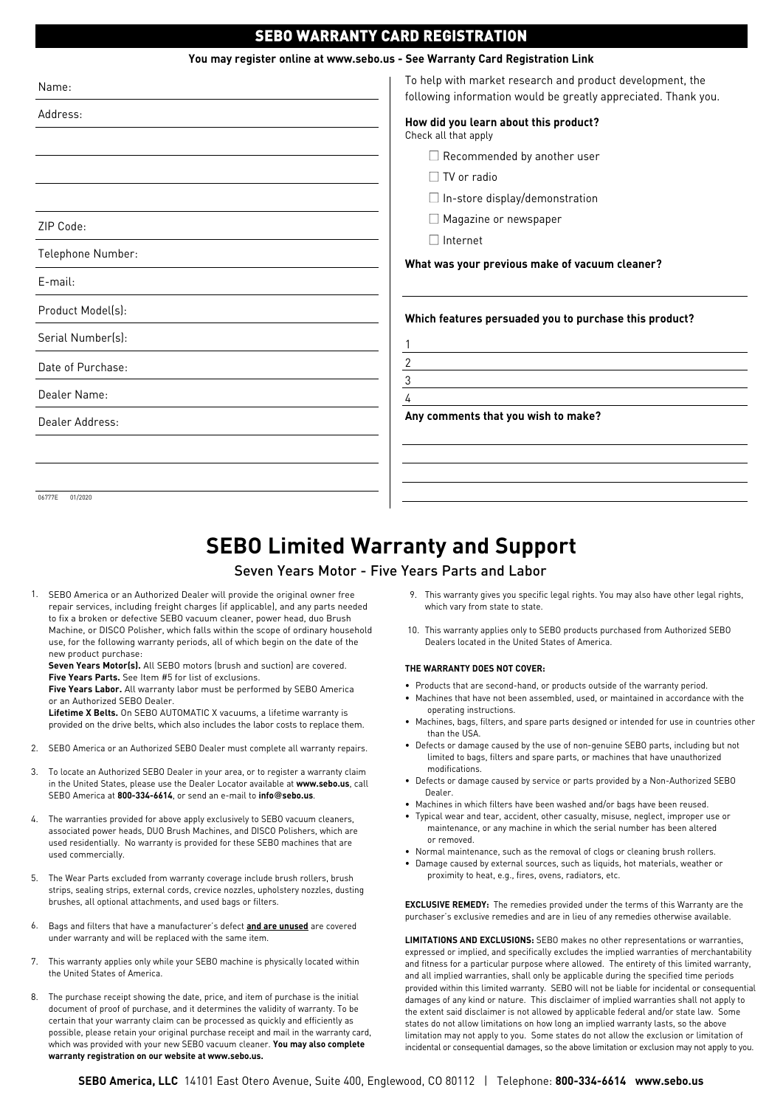## SEBO WARRANTY CARD REGISTRATION

| You may register online at www.sebo.us - See Warranty Card Registration Link |                                                                                                                             |
|------------------------------------------------------------------------------|-----------------------------------------------------------------------------------------------------------------------------|
| Name:                                                                        | To help with market research and product development, the<br>following information would be greatly appreciated. Thank you. |
| Address:                                                                     | How did you learn about this product?<br>Check all that apply                                                               |
|                                                                              | $\Box$ Recommended by another user                                                                                          |
|                                                                              | $\Box$ TV or radio                                                                                                          |
|                                                                              | $\Box$ In-store display/demonstration                                                                                       |
| ZIP Code:                                                                    | Magazine or newspaper                                                                                                       |
|                                                                              | $\Box$ Internet                                                                                                             |
| Telephone Number:                                                            | What was your previous make of vacuum cleaner?                                                                              |
| $E$ -mail:                                                                   |                                                                                                                             |
| Product Model(s):                                                            | Which features persuaded you to purchase this product?                                                                      |
| Serial Number(s):                                                            |                                                                                                                             |
| Date of Purchase:                                                            | 2<br>3                                                                                                                      |
| Dealer Name:                                                                 | 4                                                                                                                           |
| Dealer Address:                                                              | Any comments that you wish to make?                                                                                         |
|                                                                              |                                                                                                                             |
|                                                                              |                                                                                                                             |
|                                                                              |                                                                                                                             |

06777E 01/2020

# **SEBO Limited Warranty and Support**

### Seven Years Motor - Five Years Parts and Labor

1. SEBO America or an Authorized Dealer will provide the original owner free repair services, including freight charges (if applicable), and any parts needed to fix a broken or defective SEBO vacuum cleaner, power head, duo Brush Machine, or DISCO Polisher, which falls within the scope of ordinary household use, for the following warranty periods, all of which begin on the date of the new product purchase:

**Seven Years Motor(s).** All SEBO motors (brush and suction) are covered. **Five Years Parts.** See Item #5 for list of exclusions.

**Five Years Labor.** All warranty labor must be performed by SEBO America or an Authorized SEBO Dealer.

**Lifetime X Belts.** On SEBO AUTOMATIC X vacuums, a lifetime warranty is provided on the drive belts, which also includes the labor costs to replace them.

- 2. SEBO America or an Authorized SEBO Dealer must complete all warranty repairs.
- 3. To locate an Authorized SEBO Dealer in your area, or to register a warranty claim in the United States, please use the Dealer Locator available at **www.sebo.us**, call SEBO America at **800-334-6614**, or send an e-mail to **info@sebo.us**.
- The warranties provided for above apply exclusively to SEBO vacuum cleaners, associated power heads, DUO Brush Machines, and DISCO Polishers, which are used residentially. No warranty is provided for these SEBO machines that are used commercially. 4.
- The Wear Parts excluded from warranty coverage include brush rollers, brush strips, sealing strips, external cords, crevice nozzles, upholstery nozzles, dusting brushes, all optional attachments, and used bags or filters. 5.
- Bags and filters that have a manufacturer's defect **and are unused** are covered under warranty and will be replaced with the same item. 6.
- This warranty applies only while your SEBO machine is physically located within 7. the United States of America.
- The purchase receipt showing the date, price, and item of purchase is the initial document of proof of purchase, and it determines the validity of warranty. To be certain that your warranty claim can be processed as quickly and efficiently as possible, please retain your original purchase receipt and mail in the warranty card, which was provided with your new SEBO vacuum cleaner. **You may also complete warranty registration on our website at www.sebo.us.** 8.
- This warranty gives you specific legal rights. You may also have other legal rights, 9. which vary from state to state.
- 10. This warranty applies only to SEBO products purchased from Authorized SEBO Dealers located in the United States of America.

#### **THE WARRANTY DOES NOT COVER:**

- Products that are second-hand, or products outside of the warranty period.
- Machines that have not been assembled, used, or maintained in accordance with the operating instructions.
- Machines, bags, filters, and spare parts designed or intended for use in countries other than the USA
- Defects or damage caused by the use of non-genuine SEBO parts, including but not limited to bags, filters and spare parts, or machines that have unauthorized modifications.
- Defects or damage caused by service or parts provided by a Non-Authorized SEBO Dealer.
- Machines in which filters have been washed and/or bags have been reused.
- Typical wear and tear, accident, other casualty, misuse, neglect, improper use or maintenance, or any machine in which the serial number has been altered or removed.
- Normal maintenance, such as the removal of clogs or cleaning brush rollers.
- Damage caused by external sources, such as liquids, hot materials, weather or proximity to heat, e.g., fires, ovens, radiators, etc.

**EXCLUSIVE REMEDY:** The remedies provided under the terms of this Warranty are the purchaser's exclusive remedies and are in lieu of any remedies otherwise available.

**LIMITATIONS AND EXCLUSIONS:** SEBO makes no other representations or warranties, expressed or implied, and specifically excludes the implied warranties of merchantability and fitness for a particular purpose where allowed. The entirety of this limited warranty, and all implied warranties, shall only be applicable during the specified time periods provided within this limited warranty. SEBO will not be liable for incidental or consequential damages of any kind or nature. This disclaimer of implied warranties shall not apply to the extent said disclaimer is not allowed by applicable federal and/or state law. Some states do not allow limitations on how long an implied warranty lasts, so the above limitation may not apply to you. Some states do not allow the exclusion or limitation of incidental or consequential damages, so the above limitation or exclusion may not apply to you.